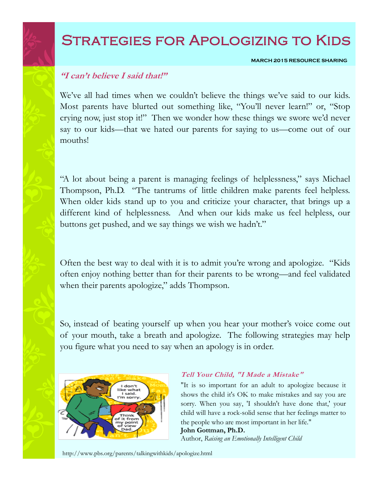# Strategies for Apologizing to Kids

**MARCH 2015 RESOURCE SHARING**

## **"I can't believe I said that!"**

We've all had times when we couldn't believe the things we've said to our kids. Most parents have blurted out something like, "You'll never learn!" or, "Stop crying now, just stop it!" Then we wonder how these things we swore we'd never say to our kids—that we hated our parents for saying to us—come out of our mouths!

"A lot about being a parent is managing feelings of helplessness," says Michael Thompson, Ph.D. "The tantrums of little children make parents feel helpless. When older kids stand up to you and criticize your character, that brings up a different kind of helplessness. And when our kids make us feel helpless, our buttons get pushed, and we say things we wish we hadn't."

Often the best way to deal with it is to admit you're wrong and apologize. "Kids often enjoy nothing better than for their parents to be wrong—and feel validated when their parents apologize," adds Thompson.

So, instead of beating yourself up when you hear your mother's voice come out of your mouth, take a breath and apologize. The following strategies may help you figure what you need to say when an apology is in order.



### **Tell Your Child, "I Made a Mistake"**

"It is so important for an adult to apologize because it shows the child it's OK to make mistakes and say you are sorry. When you say, 'I shouldn't have done that,' your child will have a rock-solid sense that her feelings matter to the people who are most important in her life."

#### **John Gottman, Ph.D.**

Author, *Raising an Emotionally Intelligent Child*

http://www.pbs.org/parents/talkingwithkids/apologize.html